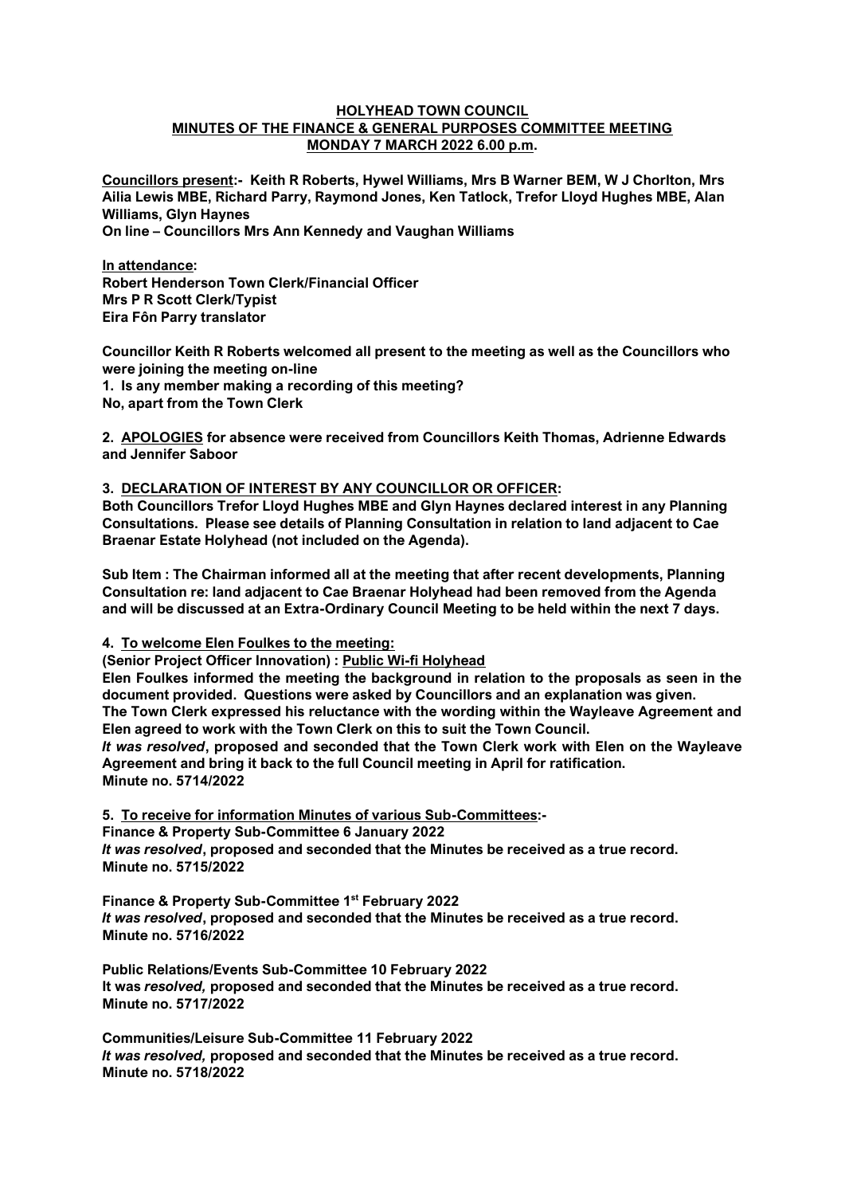#### **HOLYHEAD TOWN COUNCIL MINUTES OF THE FINANCE & GENERAL PURPOSES COMMITTEE MEETING MONDAY 7 MARCH 2022 6.00 p.m.**

**Councillors present:- Keith R Roberts, Hywel Williams, Mrs B Warner BEM, W J Chorlton, Mrs Ailia Lewis MBE, Richard Parry, Raymond Jones, Ken Tatlock, Trefor Lloyd Hughes MBE, Alan Williams, Glyn Haynes**

**On line – Councillors Mrs Ann Kennedy and Vaughan Williams**

**In attendance: Robert Henderson Town Clerk/Financial Officer Mrs P R Scott Clerk/Typist Eira Fôn Parry translator**

**Councillor Keith R Roberts welcomed all present to the meeting as well as the Councillors who were joining the meeting on-line**

**1. Is any member making a recording of this meeting? No, apart from the Town Clerk**

**2. APOLOGIES for absence were received from Councillors Keith Thomas, Adrienne Edwards and Jennifer Saboor**

#### **3. DECLARATION OF INTEREST BY ANY COUNCILLOR OR OFFICER:**

**Both Councillors Trefor Lloyd Hughes MBE and Glyn Haynes declared interest in any Planning Consultations. Please see details of Planning Consultation in relation to land adjacent to Cae Braenar Estate Holyhead (not included on the Agenda).**

**Sub Item : The Chairman informed all at the meeting that after recent developments, Planning Consultation re: land adjacent to Cae Braenar Holyhead had been removed from the Agenda and will be discussed at an Extra-Ordinary Council Meeting to be held within the next 7 days.**

**4. To welcome Elen Foulkes to the meeting:**

**(Senior Project Officer Innovation) : Public Wi-fi Holyhead**

**Elen Foulkes informed the meeting the background in relation to the proposals as seen in the document provided. Questions were asked by Councillors and an explanation was given. The Town Clerk expressed his reluctance with the wording within the Wayleave Agreement and Elen agreed to work with the Town Clerk on this to suit the Town Council.**  *It was resolved***, proposed and seconded that the Town Clerk work with Elen on the Wayleave Agreement and bring it back to the full Council meeting in April for ratification. Minute no. 5714/2022**

**5. To receive for information Minutes of various Sub-Committees:- Finance & Property Sub-Committee 6 January 2022** *It was resolved***, proposed and seconded that the Minutes be received as a true record. Minute no. 5715/2022**

**Finance & Property Sub-Committee 1st February 2022** *It was resolved***, proposed and seconded that the Minutes be received as a true record. Minute no. 5716/2022**

**Public Relations/Events Sub-Committee 10 February 2022 It was** *resolved,* **proposed and seconded that the Minutes be received as a true record. Minute no. 5717/2022**

**Communities/Leisure Sub-Committee 11 February 2022** *It was resolved,* **proposed and seconded that the Minutes be received as a true record. Minute no. 5718/2022**